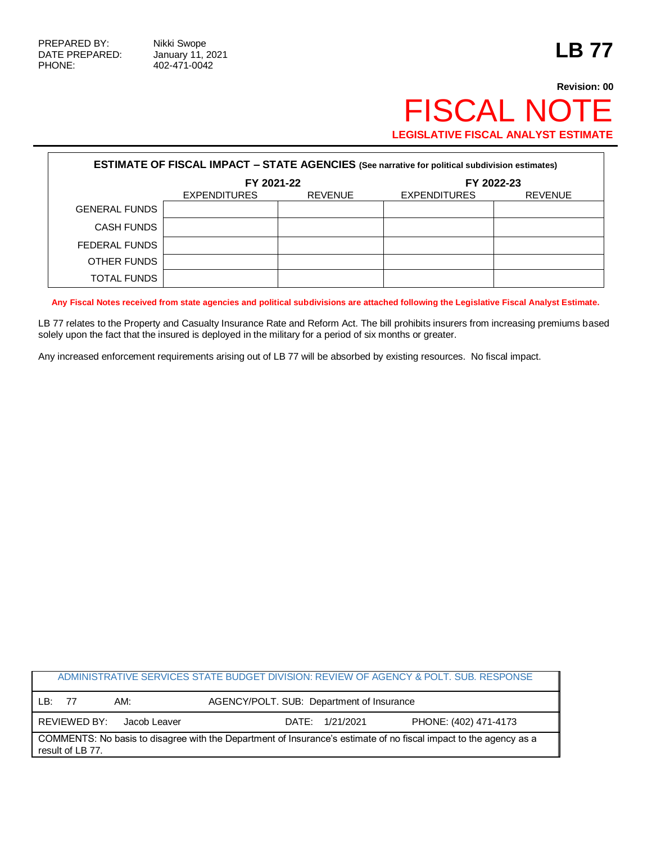## **Revision: 00** FISCAL NOTE **LEGISLATIVE FISCAL ANALYST ESTIMATE**

| <b>ESTIMATE OF FISCAL IMPACT - STATE AGENCIES (See narrative for political subdivision estimates)</b> |                     |                |                     |                |  |
|-------------------------------------------------------------------------------------------------------|---------------------|----------------|---------------------|----------------|--|
|                                                                                                       | FY 2021-22          |                | FY 2022-23          |                |  |
|                                                                                                       | <b>EXPENDITURES</b> | <b>REVENUE</b> | <b>EXPENDITURES</b> | <b>REVENUE</b> |  |
| <b>GENERAL FUNDS</b>                                                                                  |                     |                |                     |                |  |
| <b>CASH FUNDS</b>                                                                                     |                     |                |                     |                |  |
| FEDERAL FUNDS                                                                                         |                     |                |                     |                |  |
| OTHER FUNDS                                                                                           |                     |                |                     |                |  |
| <b>TOTAL FUNDS</b>                                                                                    |                     |                |                     |                |  |

**Any Fiscal Notes received from state agencies and political subdivisions are attached following the Legislative Fiscal Analyst Estimate.**

LB 77 relates to the Property and Casualty Insurance Rate and Reform Act. The bill prohibits insurers from increasing premiums based solely upon the fact that the insured is deployed in the military for a period of six months or greater.

Any increased enforcement requirements arising out of LB 77 will be absorbed by existing resources. No fiscal impact.

|                                                                                                                                       |              |              | ADMINISTRATIVE SERVICES STATE BUDGET DIVISION: REVIEW OF AGENCY & POLT. SUB. RESPONSE |                       |
|---------------------------------------------------------------------------------------------------------------------------------------|--------------|--------------|---------------------------------------------------------------------------------------|-----------------------|
| I B.                                                                                                                                  | 77           | AM:          | AGENCY/POLT. SUB: Department of Insurance                                             |                       |
|                                                                                                                                       | REVIEWED BY: | Jacob Leaver | DATE: 1/21/2021                                                                       | PHONE: (402) 471-4173 |
| COMMENTS: No basis to disagree with the Department of Insurance's estimate of no fiscal impact to the agency as a<br>result of LB 77. |              |              |                                                                                       |                       |